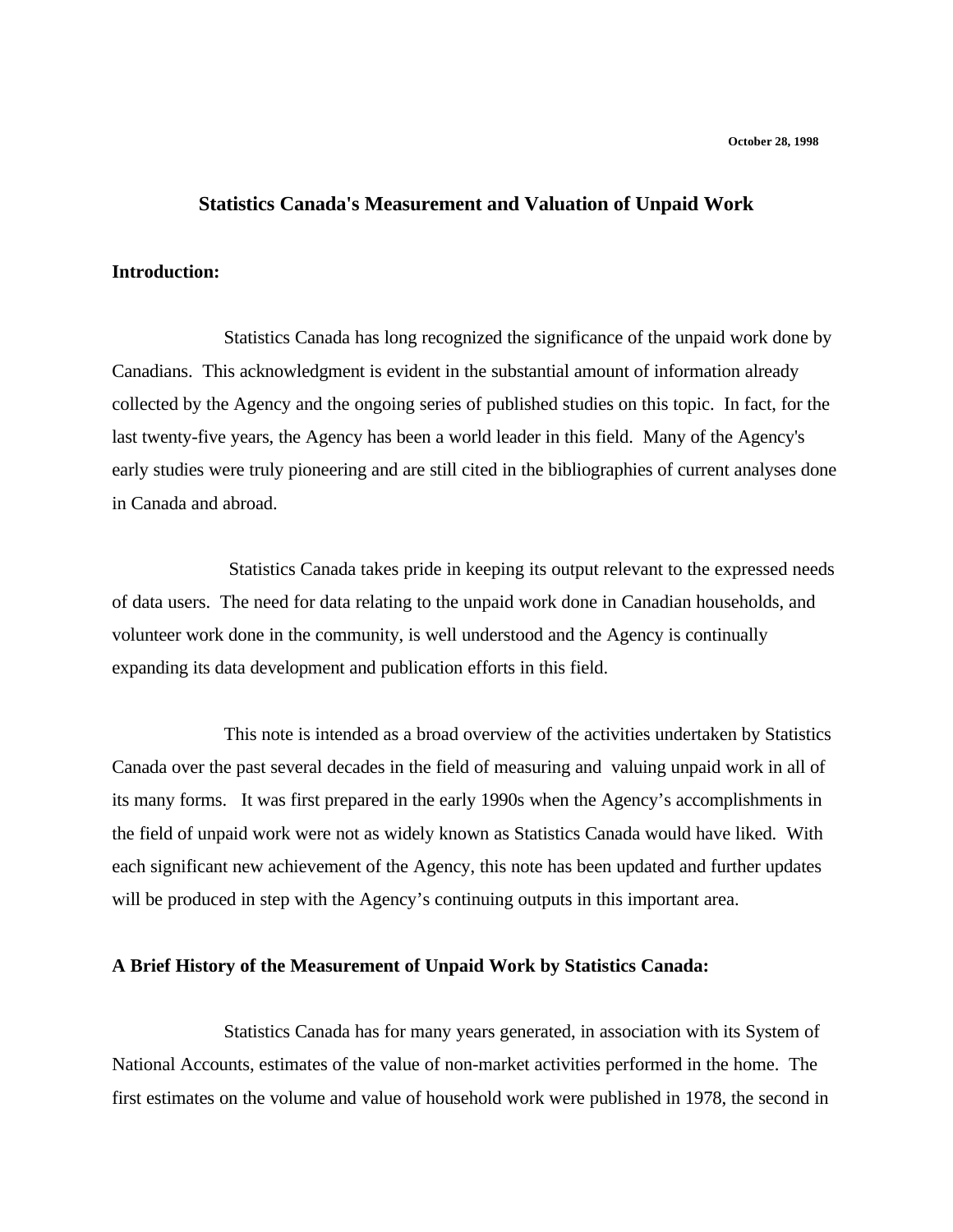# **Statistics Canada's Measurement and Valuation of Unpaid Work**

### **Introduction:**

Statistics Canada has long recognized the significance of the unpaid work done by Canadians. This acknowledgment is evident in the substantial amount of information already collected by the Agency and the ongoing series of published studies on this topic. In fact, for the last twenty-five years, the Agency has been a world leader in this field. Many of the Agency's early studies were truly pioneering and are still cited in the bibliographies of current analyses done in Canada and abroad.

 Statistics Canada takes pride in keeping its output relevant to the expressed needs of data users. The need for data relating to the unpaid work done in Canadian households, and volunteer work done in the community, is well understood and the Agency is continually expanding its data development and publication efforts in this field.

This note is intended as a broad overview of the activities undertaken by Statistics Canada over the past several decades in the field of measuring and valuing unpaid work in all of its many forms. It was first prepared in the early 1990s when the Agency's accomplishments in the field of unpaid work were not as widely known as Statistics Canada would have liked. With each significant new achievement of the Agency, this note has been updated and further updates will be produced in step with the Agency's continuing outputs in this important area.

# **A Brief History of the Measurement of Unpaid Work by Statistics Canada:**

Statistics Canada has for many years generated, in association with its System of National Accounts, estimates of the value of non-market activities performed in the home. The first estimates on the volume and value of household work were published in 1978, the second in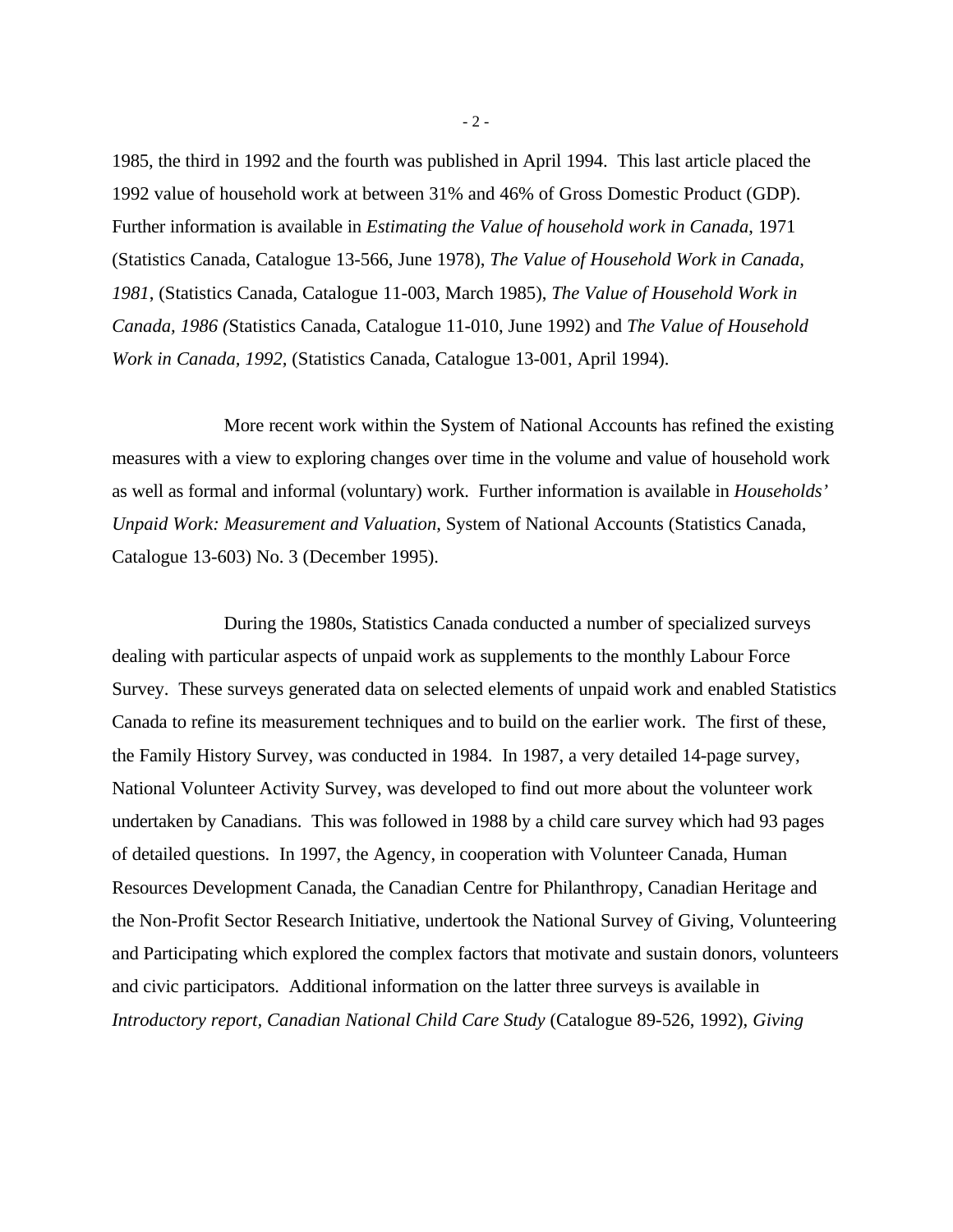1985, the third in 1992 and the fourth was published in April 1994. This last article placed the 1992 value of household work at between 31% and 46% of Gross Domestic Product (GDP). Further information is available in *Estimating the Value of household work in Canada*, 1971 (Statistics Canada, Catalogue 13-566, June 1978), *The Value of Household Work in Canada, 1981*, (Statistics Canada, Catalogue 11-003, March 1985), *The Value of Household Work in Canada, 1986 (*Statistics Canada, Catalogue 11-010, June 1992) and *The Value of Household Work in Canada, 1992,* (Statistics Canada, Catalogue 13-001, April 1994).

More recent work within the System of National Accounts has refined the existing measures with a view to exploring changes over time in the volume and value of household work as well as formal and informal (voluntary) work. Further information is available in *Households' Unpaid Work: Measurement and Valuation*, System of National Accounts (Statistics Canada, Catalogue 13-603) No. 3 (December 1995).

During the 1980s, Statistics Canada conducted a number of specialized surveys dealing with particular aspects of unpaid work as supplements to the monthly Labour Force Survey. These surveys generated data on selected elements of unpaid work and enabled Statistics Canada to refine its measurement techniques and to build on the earlier work. The first of these, the Family History Survey, was conducted in 1984. In 1987, a very detailed 14-page survey, National Volunteer Activity Survey, was developed to find out more about the volunteer work undertaken by Canadians. This was followed in 1988 by a child care survey which had 93 pages of detailed questions. In 1997, the Agency, in cooperation with Volunteer Canada, Human Resources Development Canada, the Canadian Centre for Philanthropy, Canadian Heritage and the Non-Profit Sector Research Initiative, undertook the National Survey of Giving, Volunteering and Participating which explored the complex factors that motivate and sustain donors, volunteers and civic participators. Additional information on the latter three surveys is available in *Introductory report, Canadian National Child Care Study* (Catalogue 89-526, 1992), *Giving* 

- 2 -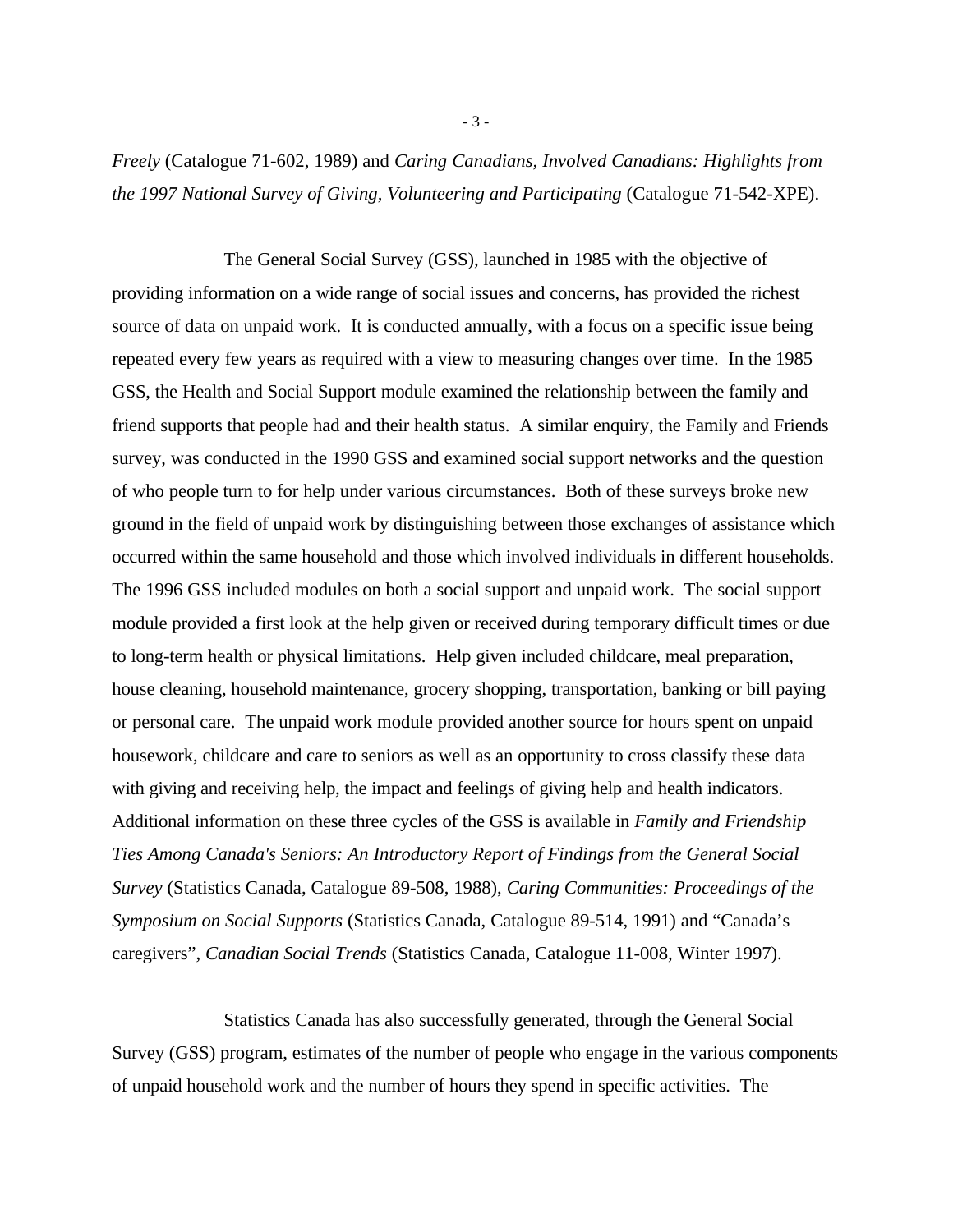*Freely* (Catalogue 71-602, 1989) and *Caring Canadians, Involved Canadians: Highlights from the 1997 National Survey of Giving, Volunteering and Participating* (Catalogue 71-542-XPE).

The General Social Survey (GSS), launched in 1985 with the objective of providing information on a wide range of social issues and concerns, has provided the richest source of data on unpaid work. It is conducted annually, with a focus on a specific issue being repeated every few years as required with a view to measuring changes over time. In the 1985 GSS, the Health and Social Support module examined the relationship between the family and friend supports that people had and their health status. A similar enquiry, the Family and Friends survey, was conducted in the 1990 GSS and examined social support networks and the question of who people turn to for help under various circumstances. Both of these surveys broke new ground in the field of unpaid work by distinguishing between those exchanges of assistance which occurred within the same household and those which involved individuals in different households. The 1996 GSS included modules on both a social support and unpaid work. The social support module provided a first look at the help given or received during temporary difficult times or due to long-term health or physical limitations. Help given included childcare, meal preparation, house cleaning, household maintenance, grocery shopping, transportation, banking or bill paying or personal care. The unpaid work module provided another source for hours spent on unpaid housework, childcare and care to seniors as well as an opportunity to cross classify these data with giving and receiving help, the impact and feelings of giving help and health indicators. Additional information on these three cycles of the GSS is available in *Family and Friendship Ties Among Canada's Seniors: An Introductory Report of Findings from the General Social Survey* (Statistics Canada, Catalogue 89-508, 1988), *Caring Communities: Proceedings of the Symposium on Social Supports* (Statistics Canada, Catalogue 89-514, 1991) and "Canada's caregivers", *Canadian Social Trends* (Statistics Canada, Catalogue 11-008, Winter 1997).

Statistics Canada has also successfully generated, through the General Social Survey (GSS) program, estimates of the number of people who engage in the various components of unpaid household work and the number of hours they spend in specific activities. The

- 3 -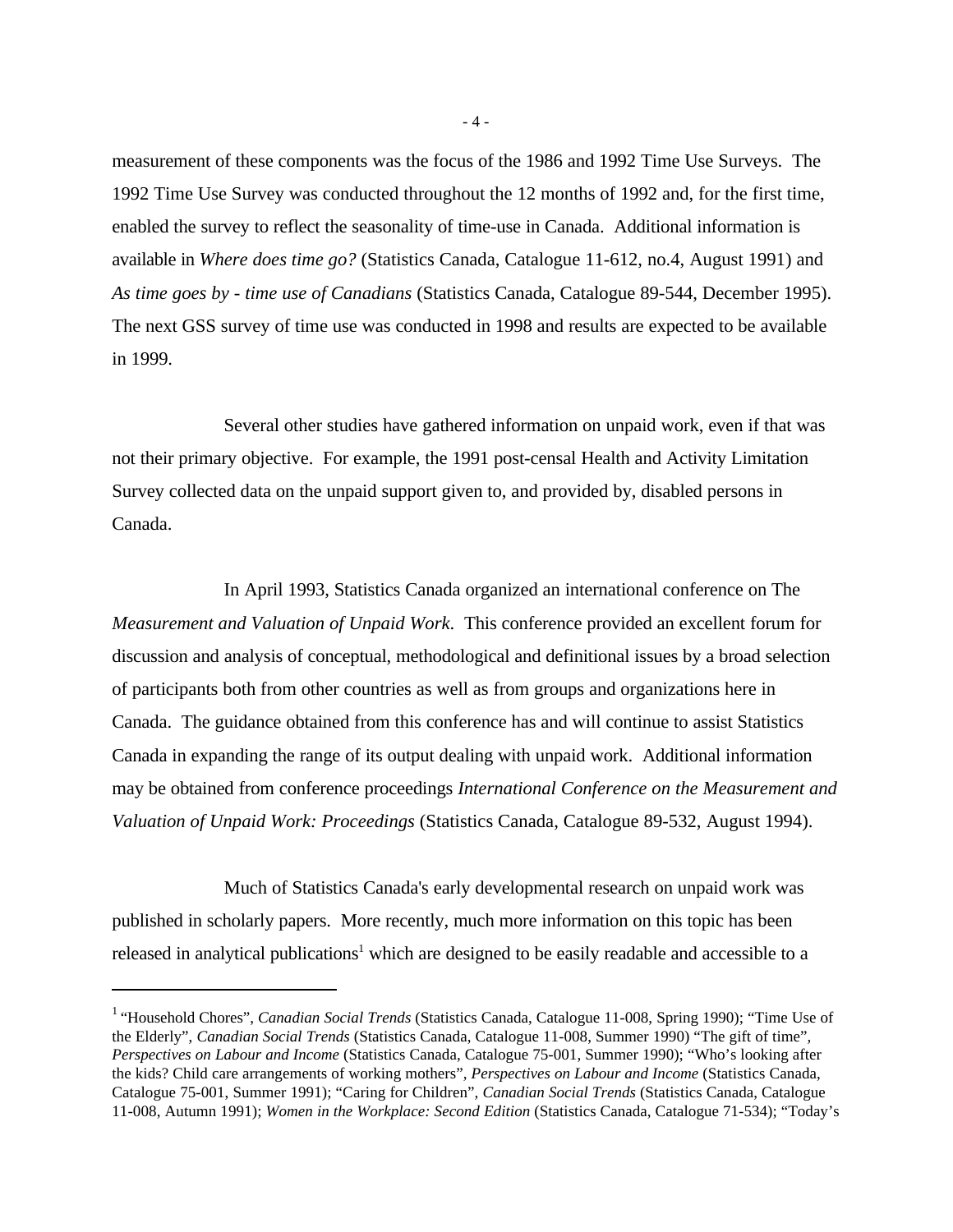measurement of these components was the focus of the 1986 and 1992 Time Use Surveys. The 1992 Time Use Survey was conducted throughout the 12 months of 1992 and, for the first time, enabled the survey to reflect the seasonality of time-use in Canada. Additional information is available in *Where does time go?* (Statistics Canada, Catalogue 11-612, no.4, August 1991) and *As time goes by - time use of Canadians* (Statistics Canada, Catalogue 89-544, December 1995). The next GSS survey of time use was conducted in 1998 and results are expected to be available in 1999.

Several other studies have gathered information on unpaid work, even if that was not their primary objective. For example, the 1991 post-censal Health and Activity Limitation Survey collected data on the unpaid support given to, and provided by, disabled persons in Canada.

In April 1993, Statistics Canada organized an international conference on The *Measurement and Valuation of Unpaid Work*. This conference provided an excellent forum for discussion and analysis of conceptual, methodological and definitional issues by a broad selection of participants both from other countries as well as from groups and organizations here in Canada. The guidance obtained from this conference has and will continue to assist Statistics Canada in expanding the range of its output dealing with unpaid work. Additional information may be obtained from conference proceedings *International Conference on the Measurement and Valuation of Unpaid Work: Proceedings* (Statistics Canada, Catalogue 89-532, August 1994).

Much of Statistics Canada's early developmental research on unpaid work was published in scholarly papers. More recently, much more information on this topic has been released in analytical publications<sup>1</sup> which are designed to be easily readable and accessible to a

- 4 -

<sup>&</sup>lt;sup>1</sup> "Household Chores", *Canadian Social Trends* (Statistics Canada, Catalogue 11-008, Spring 1990); "Time Use of the Elderly", *Canadian Social Trends* (Statistics Canada, Catalogue 11-008, Summer 1990) "The gift of time"*, Perspectives on Labour and Income* (Statistics Canada, Catalogue 75-001, Summer 1990); "Who's looking after the kids? Child care arrangements of working mothers", *Perspectives on Labour and Income* (Statistics Canada, Catalogue 75-001, Summer 1991); "Caring for Children"*, Canadian Social Trends* (Statistics Canada, Catalogue 11-008, Autumn 1991); *Women in the Workplace: Second Edition* (Statistics Canada, Catalogue 71-534); "Today's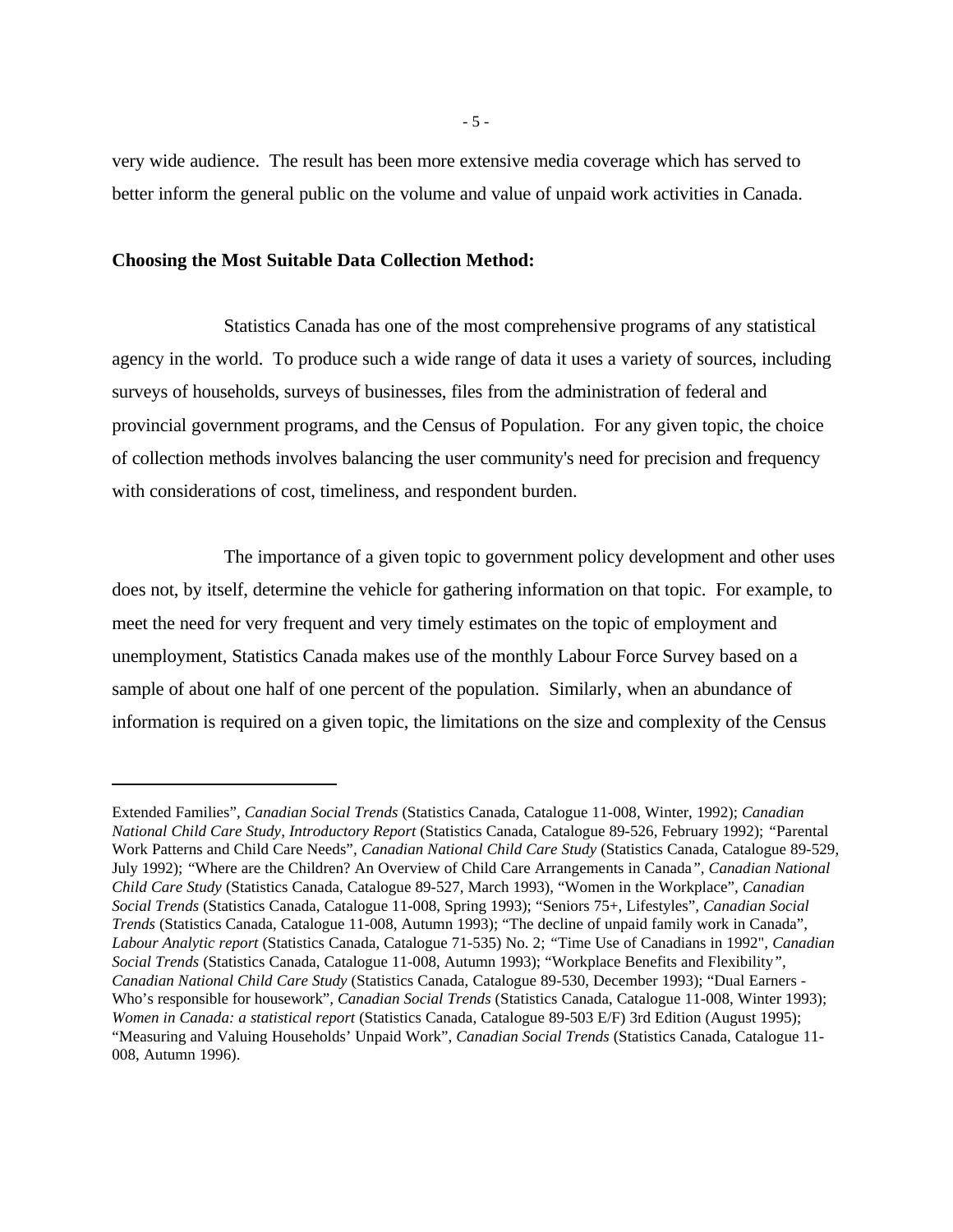very wide audience. The result has been more extensive media coverage which has served to better inform the general public on the volume and value of unpaid work activities in Canada.

# **Choosing the Most Suitable Data Collection Method:**

Statistics Canada has one of the most comprehensive programs of any statistical agency in the world. To produce such a wide range of data it uses a variety of sources, including surveys of households, surveys of businesses, files from the administration of federal and provincial government programs, and the Census of Population. For any given topic, the choice of collection methods involves balancing the user community's need for precision and frequency with considerations of cost, timeliness, and respondent burden.

The importance of a given topic to government policy development and other uses does not, by itself, determine the vehicle for gathering information on that topic. For example, to meet the need for very frequent and very timely estimates on the topic of employment and unemployment, Statistics Canada makes use of the monthly Labour Force Survey based on a sample of about one half of one percent of the population. Similarly, when an abundance of information is required on a given topic, the limitations on the size and complexity of the Census

- 5 -

Extended Families"*, Canadian Social Trends* (Statistics Canada, Catalogue 11-008, Winter, 1992); *Canadian National Child Care Study, Introductory Report* (Statistics Canada, Catalogue 89-526, February 1992); *"*Parental Work Patterns and Child Care Needs"*, Canadian National Child Care Study* (Statistics Canada, Catalogue 89-529, July 1992); *"*Where are the Children? An Overview of Child Care Arrangements in Canada*", Canadian National Child Care Study* (Statistics Canada, Catalogue 89-527, March 1993), "Women in the Workplace"*, Canadian Social Trends* (Statistics Canada, Catalogue 11-008, Spring 1993); "Seniors 75+, Lifestyles"*, Canadian Social Trends* (Statistics Canada, Catalogue 11-008, Autumn 1993); "The decline of unpaid family work in Canada", *Labour Analytic report* (Statistics Canada, Catalogue 71-535) No. 2; *"*Time Use of Canadians in 1992"*, Canadian Social Trends* (Statistics Canada, Catalogue 11-008, Autumn 1993); "Workplace Benefits and Flexibility*", Canadian National Child Care Study* (Statistics Canada, Catalogue 89-530, December 1993); "Dual Earners - Who's responsible for housework"*, Canadian Social Trends* (Statistics Canada, Catalogue 11-008, Winter 1993); *Women in Canada: a statistical report (Statistics Canada, Catalogue 89-503 E/F) 3rd Edition (August 1995);* "Measuring and Valuing Households' Unpaid Work", *Canadian Social Trends* (Statistics Canada, Catalogue 11- 008, Autumn 1996).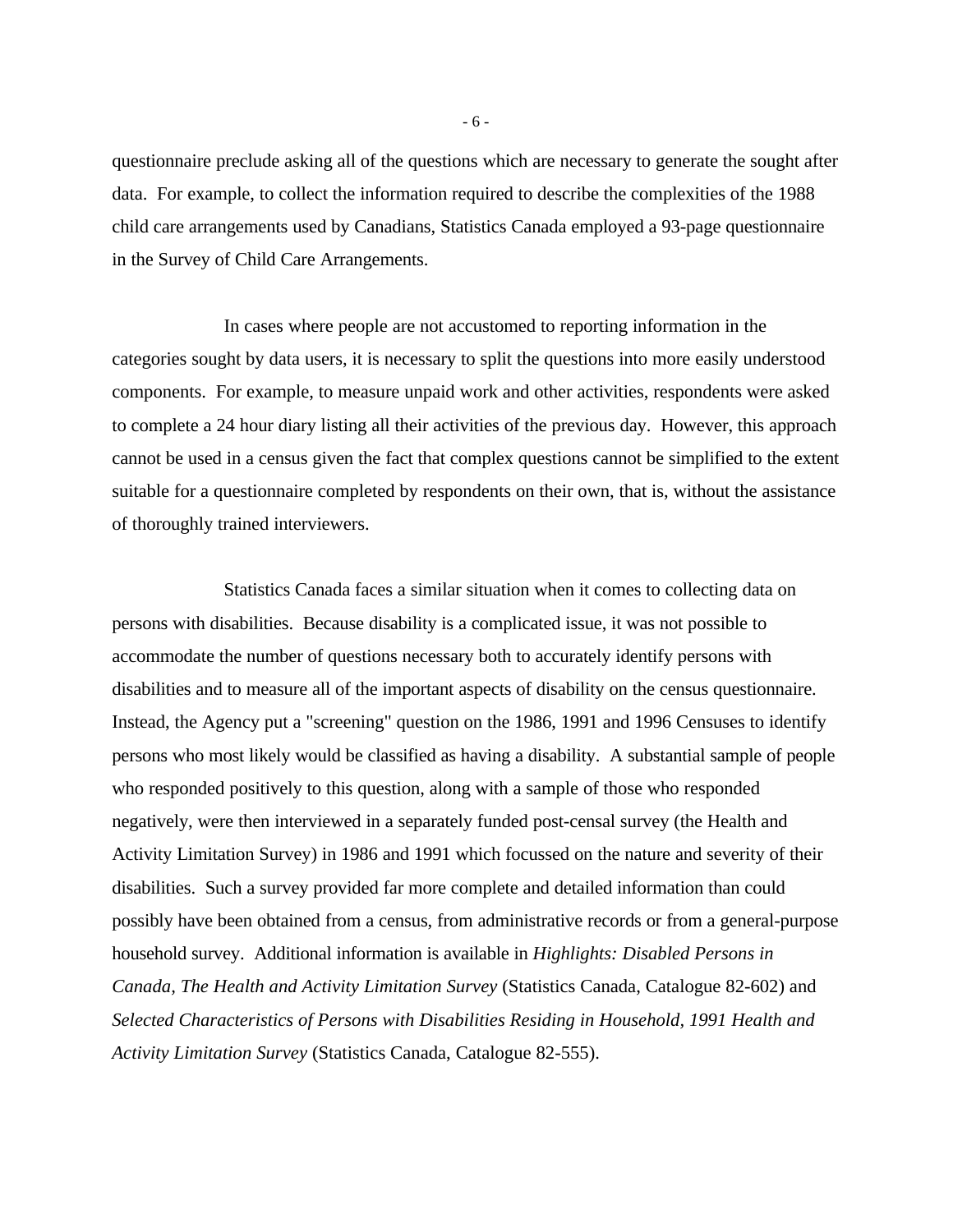questionnaire preclude asking all of the questions which are necessary to generate the sought after data. For example, to collect the information required to describe the complexities of the 1988 child care arrangements used by Canadians, Statistics Canada employed a 93-page questionnaire in the Survey of Child Care Arrangements.

In cases where people are not accustomed to reporting information in the categories sought by data users, it is necessary to split the questions into more easily understood components. For example, to measure unpaid work and other activities, respondents were asked to complete a 24 hour diary listing all their activities of the previous day. However, this approach cannot be used in a census given the fact that complex questions cannot be simplified to the extent suitable for a questionnaire completed by respondents on their own, that is, without the assistance of thoroughly trained interviewers.

Statistics Canada faces a similar situation when it comes to collecting data on persons with disabilities. Because disability is a complicated issue, it was not possible to accommodate the number of questions necessary both to accurately identify persons with disabilities and to measure all of the important aspects of disability on the census questionnaire. Instead, the Agency put a "screening" question on the 1986, 1991 and 1996 Censuses to identify persons who most likely would be classified as having a disability. A substantial sample of people who responded positively to this question, along with a sample of those who responded negatively, were then interviewed in a separately funded post-censal survey (the Health and Activity Limitation Survey) in 1986 and 1991 which focussed on the nature and severity of their disabilities. Such a survey provided far more complete and detailed information than could possibly have been obtained from a census, from administrative records or from a general-purpose household survey. Additional information is available in *Highlights: Disabled Persons in Canada, The Health and Activity Limitation Survey* (Statistics Canada, Catalogue 82-602) and *Selected Characteristics of Persons with Disabilities Residing in Household, 1991 Health and Activity Limitation Survey* (Statistics Canada, Catalogue 82-555).

- 6 -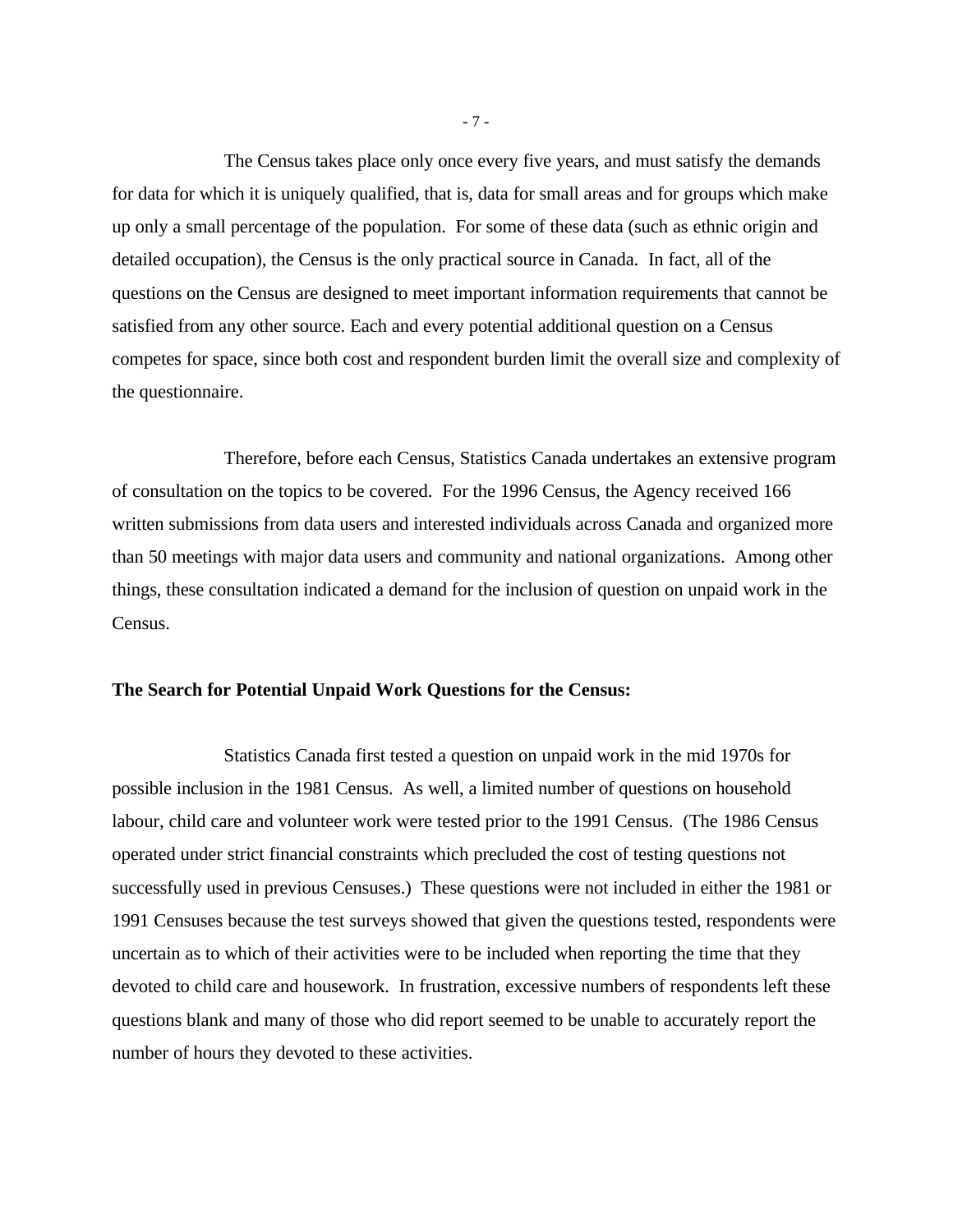The Census takes place only once every five years, and must satisfy the demands for data for which it is uniquely qualified, that is, data for small areas and for groups which make up only a small percentage of the population. For some of these data (such as ethnic origin and detailed occupation), the Census is the only practical source in Canada. In fact, all of the questions on the Census are designed to meet important information requirements that cannot be satisfied from any other source. Each and every potential additional question on a Census competes for space, since both cost and respondent burden limit the overall size and complexity of the questionnaire.

Therefore, before each Census, Statistics Canada undertakes an extensive program of consultation on the topics to be covered. For the 1996 Census, the Agency received 166 written submissions from data users and interested individuals across Canada and organized more than 50 meetings with major data users and community and national organizations. Among other things, these consultation indicated a demand for the inclusion of question on unpaid work in the Census.

### **The Search for Potential Unpaid Work Questions for the Census:**

Statistics Canada first tested a question on unpaid work in the mid 1970s for possible inclusion in the 1981 Census. As well, a limited number of questions on household labour, child care and volunteer work were tested prior to the 1991 Census. (The 1986 Census operated under strict financial constraints which precluded the cost of testing questions not successfully used in previous Censuses.) These questions were not included in either the 1981 or 1991 Censuses because the test surveys showed that given the questions tested, respondents were uncertain as to which of their activities were to be included when reporting the time that they devoted to child care and housework. In frustration, excessive numbers of respondents left these questions blank and many of those who did report seemed to be unable to accurately report the number of hours they devoted to these activities.

- 7 -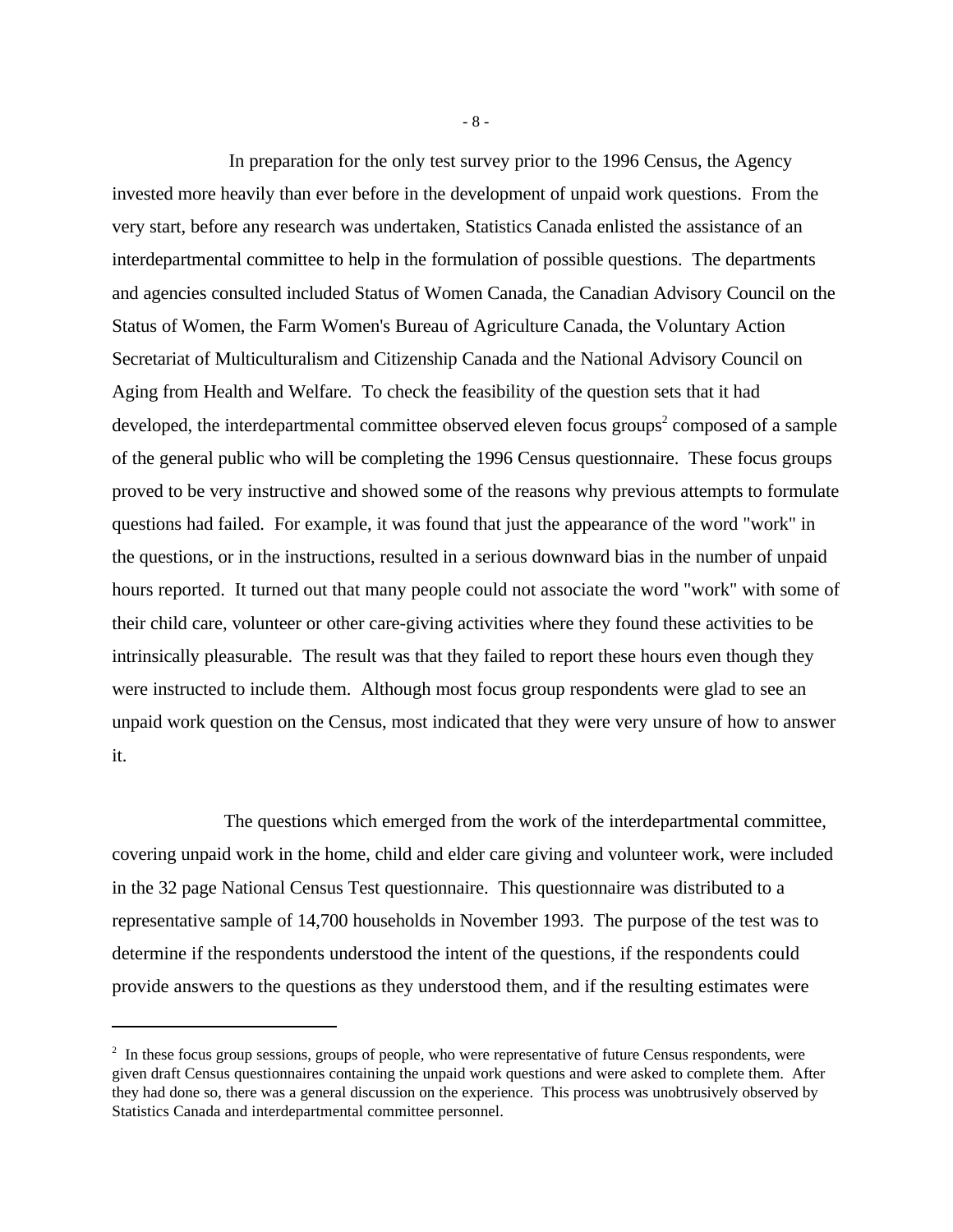In preparation for the only test survey prior to the 1996 Census, the Agency invested more heavily than ever before in the development of unpaid work questions. From the very start, before any research was undertaken, Statistics Canada enlisted the assistance of an interdepartmental committee to help in the formulation of possible questions. The departments and agencies consulted included Status of Women Canada, the Canadian Advisory Council on the Status of Women, the Farm Women's Bureau of Agriculture Canada, the Voluntary Action Secretariat of Multiculturalism and Citizenship Canada and the National Advisory Council on Aging from Health and Welfare. To check the feasibility of the question sets that it had developed, the interdepartmental committee observed eleven focus groups<sup>2</sup> composed of a sample of the general public who will be completing the 1996 Census questionnaire. These focus groups proved to be very instructive and showed some of the reasons why previous attempts to formulate questions had failed. For example, it was found that just the appearance of the word "work" in the questions, or in the instructions, resulted in a serious downward bias in the number of unpaid hours reported. It turned out that many people could not associate the word "work" with some of their child care, volunteer or other care-giving activities where they found these activities to be intrinsically pleasurable. The result was that they failed to report these hours even though they were instructed to include them. Although most focus group respondents were glad to see an unpaid work question on the Census, most indicated that they were very unsure of how to answer it.

The questions which emerged from the work of the interdepartmental committee, covering unpaid work in the home, child and elder care giving and volunteer work, were included in the 32 page National Census Test questionnaire. This questionnaire was distributed to a representative sample of 14,700 households in November 1993. The purpose of the test was to determine if the respondents understood the intent of the questions, if the respondents could provide answers to the questions as they understood them, and if the resulting estimates were

- 8 -

 $2<sup>2</sup>$  In these focus group sessions, groups of people, who were representative of future Census respondents, were given draft Census questionnaires containing the unpaid work questions and were asked to complete them. After they had done so, there was a general discussion on the experience. This process was unobtrusively observed by Statistics Canada and interdepartmental committee personnel.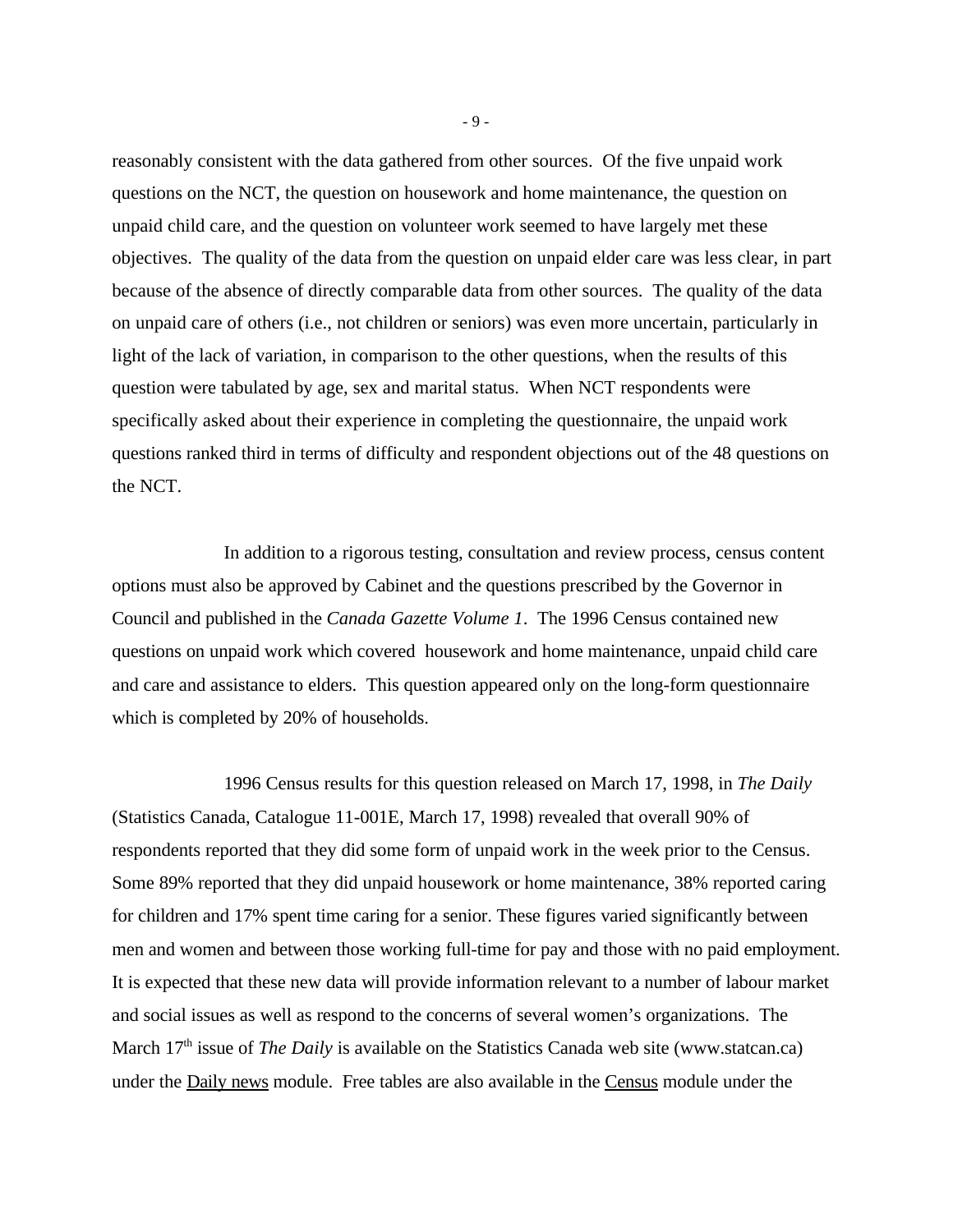reasonably consistent with the data gathered from other sources. Of the five unpaid work questions on the NCT, the question on housework and home maintenance, the question on unpaid child care, and the question on volunteer work seemed to have largely met these objectives. The quality of the data from the question on unpaid elder care was less clear, in part because of the absence of directly comparable data from other sources. The quality of the data on unpaid care of others (i.e., not children or seniors) was even more uncertain, particularly in light of the lack of variation, in comparison to the other questions, when the results of this question were tabulated by age, sex and marital status. When NCT respondents were specifically asked about their experience in completing the questionnaire, the unpaid work questions ranked third in terms of difficulty and respondent objections out of the 48 questions on the NCT.

In addition to a rigorous testing, consultation and review process, census content options must also be approved by Cabinet and the questions prescribed by the Governor in Council and published in the *Canada Gazette Volume 1*. The 1996 Census contained new questions on unpaid work which covered housework and home maintenance, unpaid child care and care and assistance to elders. This question appeared only on the long-form questionnaire which is completed by 20% of households.

1996 Census results for this question released on March 17, 1998, in *The Daily* (Statistics Canada, Catalogue 11-001E, March 17, 1998) revealed that overall 90% of respondents reported that they did some form of unpaid work in the week prior to the Census. Some 89% reported that they did unpaid housework or home maintenance, 38% reported caring for children and 17% spent time caring for a senior. These figures varied significantly between men and women and between those working full-time for pay and those with no paid employment. It is expected that these new data will provide information relevant to a number of labour market and social issues as well as respond to the concerns of several women's organizations. The March 17<sup>th</sup> issue of *The Daily* is available on the Statistics Canada web site (www.statcan.ca) under the **Daily news** module. Free tables are also available in the **Census** module under the

- 9 -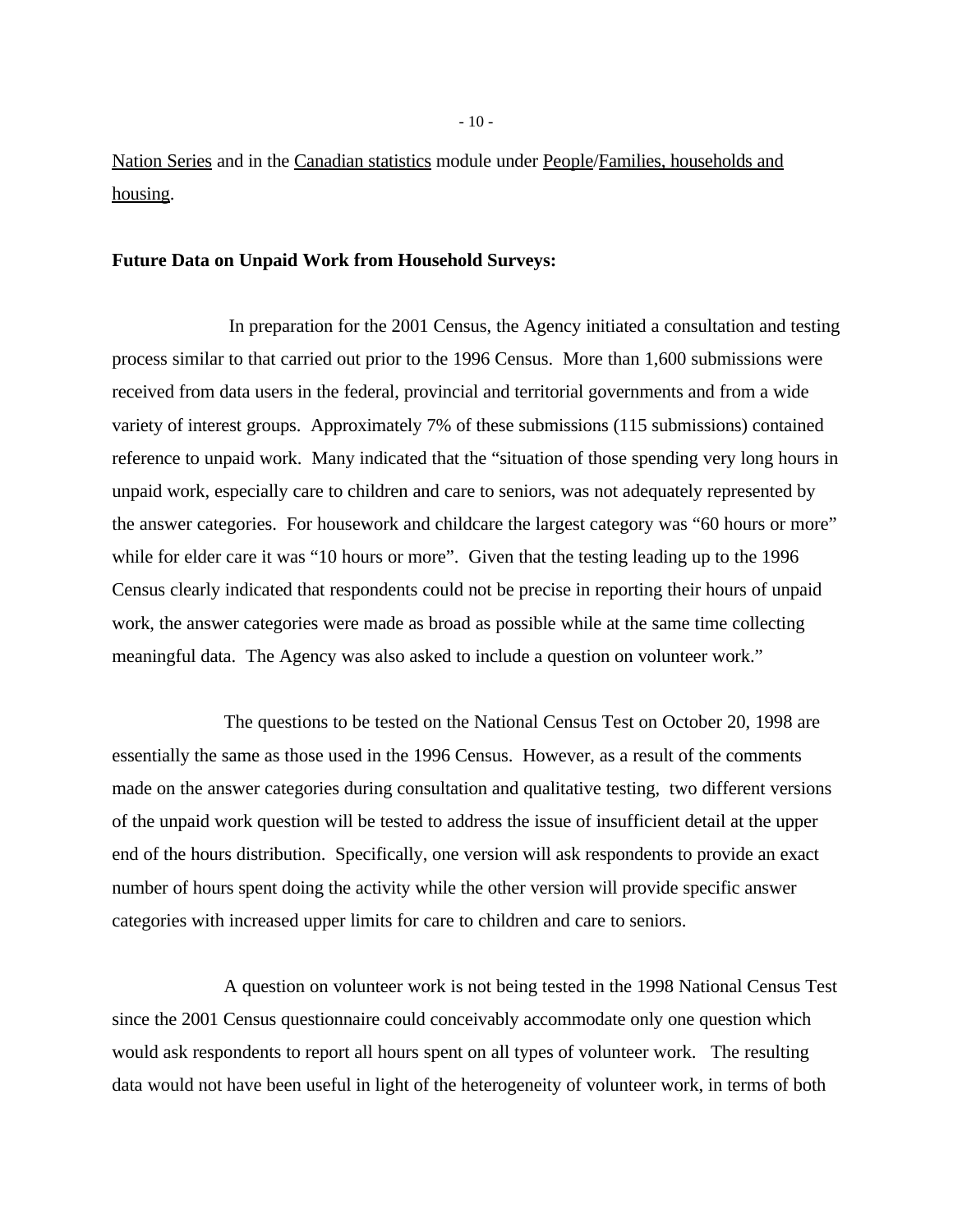Nation Series and in the Canadian statistics module under People/Families, households and housing.

#### **Future Data on Unpaid Work from Household Surveys:**

 In preparation for the 2001 Census, the Agency initiated a consultation and testing process similar to that carried out prior to the 1996 Census. More than 1,600 submissions were received from data users in the federal, provincial and territorial governments and from a wide variety of interest groups. Approximately 7% of these submissions (115 submissions) contained reference to unpaid work. Many indicated that the "situation of those spending very long hours in unpaid work, especially care to children and care to seniors, was not adequately represented by the answer categories. For housework and childcare the largest category was "60 hours or more" while for elder care it was "10 hours or more". Given that the testing leading up to the 1996 Census clearly indicated that respondents could not be precise in reporting their hours of unpaid work, the answer categories were made as broad as possible while at the same time collecting meaningful data. The Agency was also asked to include a question on volunteer work."

The questions to be tested on the National Census Test on October 20, 1998 are essentially the same as those used in the 1996 Census. However, as a result of the comments made on the answer categories during consultation and qualitative testing, two different versions of the unpaid work question will be tested to address the issue of insufficient detail at the upper end of the hours distribution. Specifically, one version will ask respondents to provide an exact number of hours spent doing the activity while the other version will provide specific answer categories with increased upper limits for care to children and care to seniors.

A question on volunteer work is not being tested in the 1998 National Census Test since the 2001 Census questionnaire could conceivably accommodate only one question which would ask respondents to report all hours spent on all types of volunteer work. The resulting data would not have been useful in light of the heterogeneity of volunteer work, in terms of both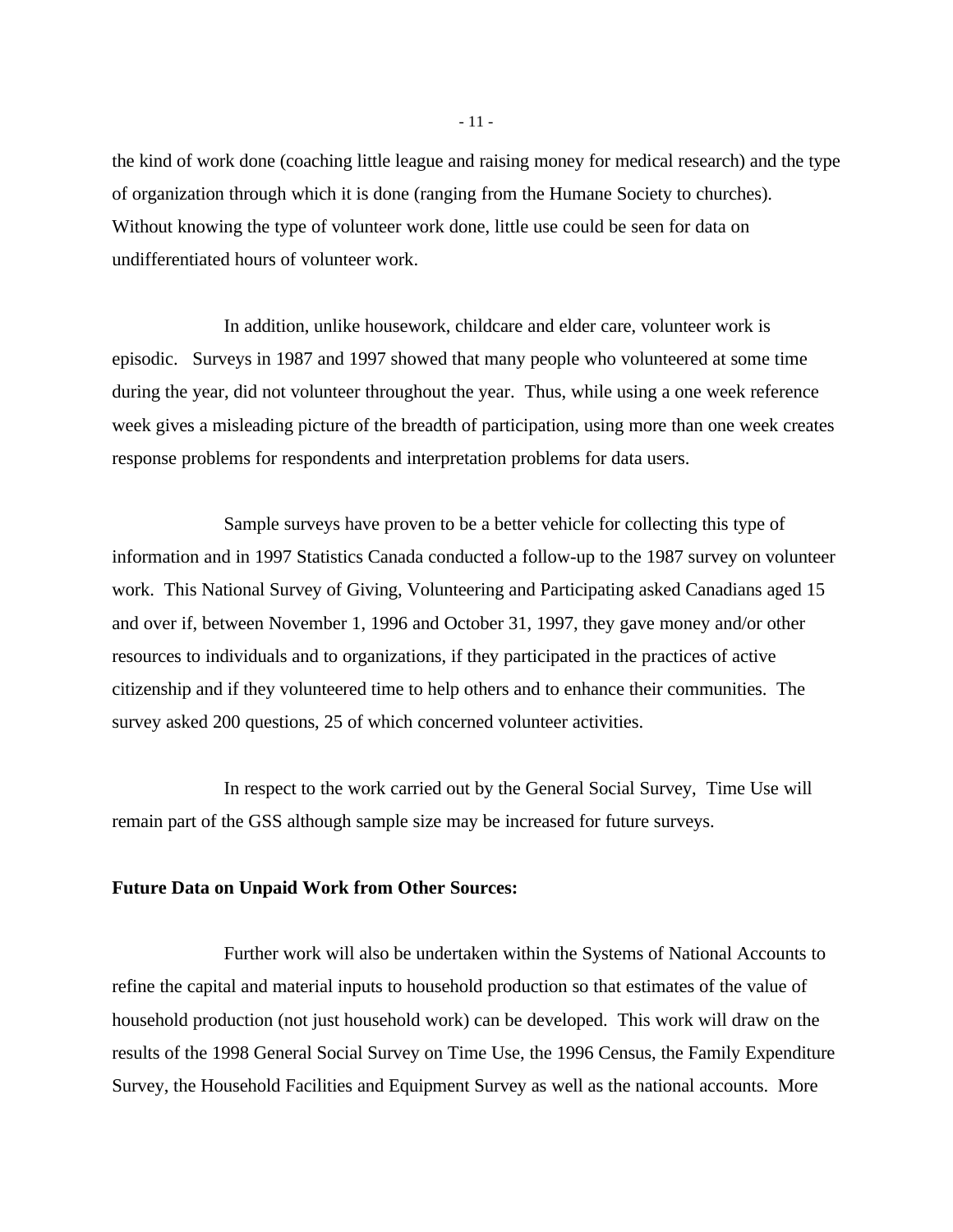the kind of work done (coaching little league and raising money for medical research) and the type of organization through which it is done (ranging from the Humane Society to churches). Without knowing the type of volunteer work done, little use could be seen for data on undifferentiated hours of volunteer work.

In addition, unlike housework, childcare and elder care, volunteer work is episodic. Surveys in 1987 and 1997 showed that many people who volunteered at some time during the year, did not volunteer throughout the year. Thus, while using a one week reference week gives a misleading picture of the breadth of participation, using more than one week creates response problems for respondents and interpretation problems for data users.

Sample surveys have proven to be a better vehicle for collecting this type of information and in 1997 Statistics Canada conducted a follow-up to the 1987 survey on volunteer work. This National Survey of Giving, Volunteering and Participating asked Canadians aged 15 and over if, between November 1, 1996 and October 31, 1997, they gave money and/or other resources to individuals and to organizations, if they participated in the practices of active citizenship and if they volunteered time to help others and to enhance their communities. The survey asked 200 questions, 25 of which concerned volunteer activities.

In respect to the work carried out by the General Social Survey, Time Use will remain part of the GSS although sample size may be increased for future surveys.

#### **Future Data on Unpaid Work from Other Sources:**

Further work will also be undertaken within the Systems of National Accounts to refine the capital and material inputs to household production so that estimates of the value of household production (not just household work) can be developed. This work will draw on the results of the 1998 General Social Survey on Time Use, the 1996 Census, the Family Expenditure Survey, the Household Facilities and Equipment Survey as well as the national accounts. More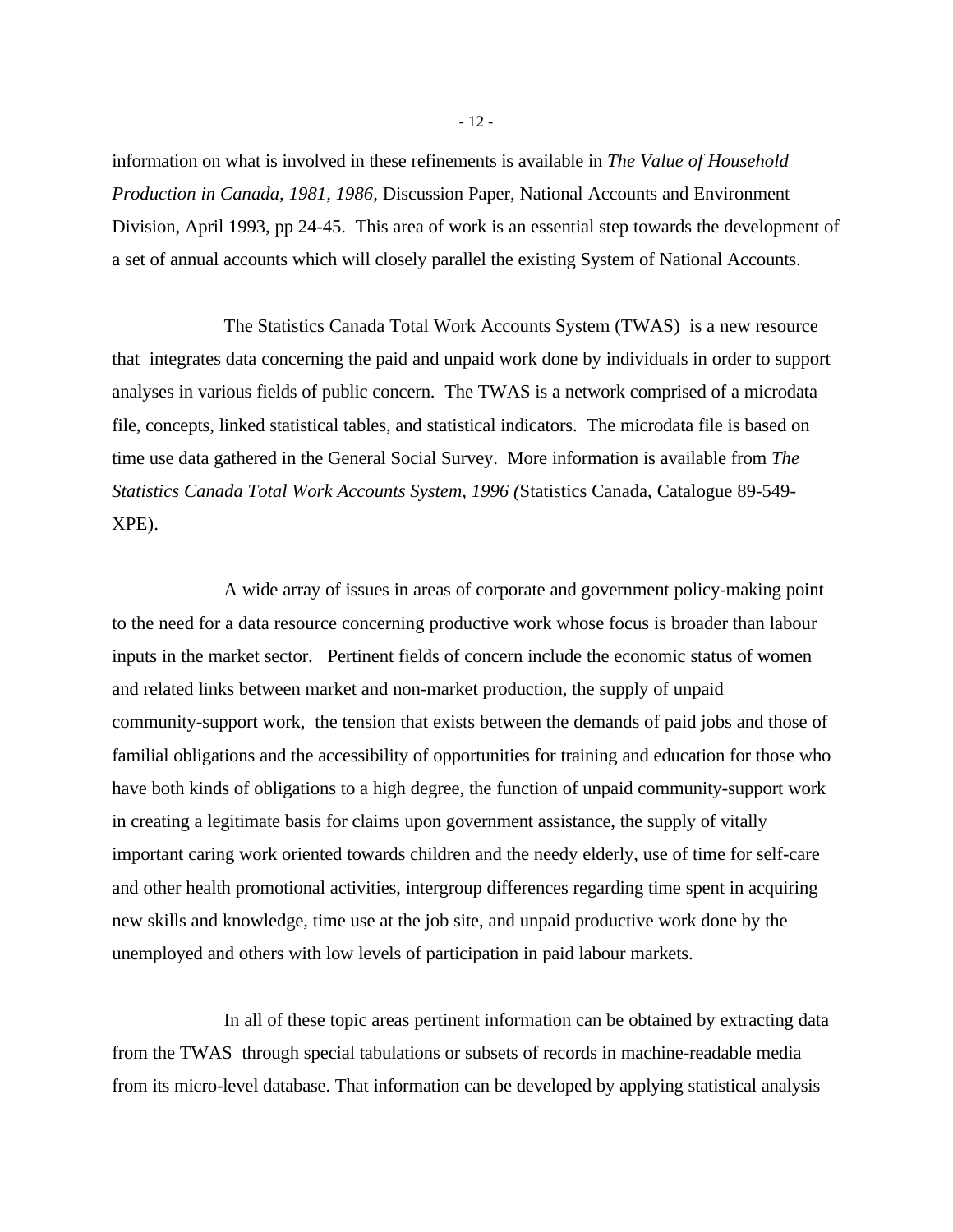information on what is involved in these refinements is available in *The Value of Household Production in Canada, 1981, 1986,* Discussion Paper, National Accounts and Environment Division, April 1993, pp 24-45. This area of work is an essential step towards the development of a set of annual accounts which will closely parallel the existing System of National Accounts.

The Statistics Canada Total Work Accounts System (TWAS) is a new resource that integrates data concerning the paid and unpaid work done by individuals in order to support analyses in various fields of public concern. The TWAS is a network comprised of a microdata file, concepts, linked statistical tables, and statistical indicators. The microdata file is based on time use data gathered in the General Social Survey. More information is available from *The Statistics Canada Total Work Accounts System, 1996 (*Statistics Canada, Catalogue 89-549- XPE).

A wide array of issues in areas of corporate and government policy-making point to the need for a data resource concerning productive work whose focus is broader than labour inputs in the market sector. Pertinent fields of concern include the economic status of women and related links between market and non-market production, the supply of unpaid community-support work, the tension that exists between the demands of paid jobs and those of familial obligations and the accessibility of opportunities for training and education for those who have both kinds of obligations to a high degree, the function of unpaid community-support work in creating a legitimate basis for claims upon government assistance, the supply of vitally important caring work oriented towards children and the needy elderly, use of time for self-care and other health promotional activities, intergroup differences regarding time spent in acquiring new skills and knowledge, time use at the job site, and unpaid productive work done by the unemployed and others with low levels of participation in paid labour markets.

In all of these topic areas pertinent information can be obtained by extracting data from the TWAS through special tabulations or subsets of records in machine-readable media from its micro-level database. That information can be developed by applying statistical analysis

- 12 -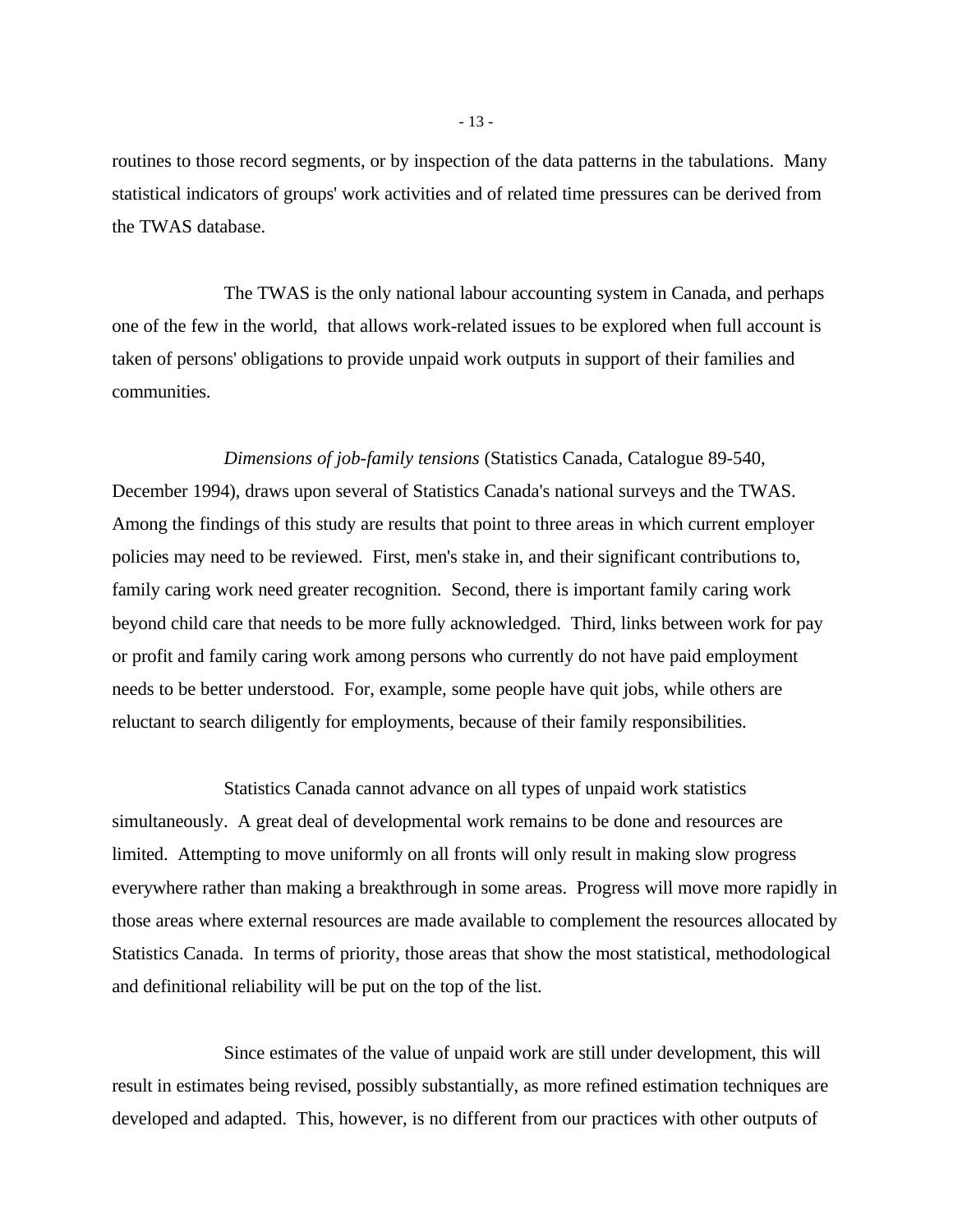routines to those record segments, or by inspection of the data patterns in the tabulations. Many statistical indicators of groups' work activities and of related time pressures can be derived from the TWAS database.

The TWAS is the only national labour accounting system in Canada, and perhaps one of the few in the world, that allows work-related issues to be explored when full account is taken of persons' obligations to provide unpaid work outputs in support of their families and communities.

*Dimensions of job-family tensions* (Statistics Canada, Catalogue 89-540, December 1994), draws upon several of Statistics Canada's national surveys and the TWAS. Among the findings of this study are results that point to three areas in which current employer policies may need to be reviewed. First, men's stake in, and their significant contributions to, family caring work need greater recognition. Second, there is important family caring work beyond child care that needs to be more fully acknowledged. Third, links between work for pay or profit and family caring work among persons who currently do not have paid employment needs to be better understood. For, example, some people have quit jobs, while others are reluctant to search diligently for employments, because of their family responsibilities.

Statistics Canada cannot advance on all types of unpaid work statistics simultaneously. A great deal of developmental work remains to be done and resources are limited. Attempting to move uniformly on all fronts will only result in making slow progress everywhere rather than making a breakthrough in some areas. Progress will move more rapidly in those areas where external resources are made available to complement the resources allocated by Statistics Canada. In terms of priority, those areas that show the most statistical, methodological and definitional reliability will be put on the top of the list.

Since estimates of the value of unpaid work are still under development, this will result in estimates being revised, possibly substantially, as more refined estimation techniques are developed and adapted. This, however, is no different from our practices with other outputs of